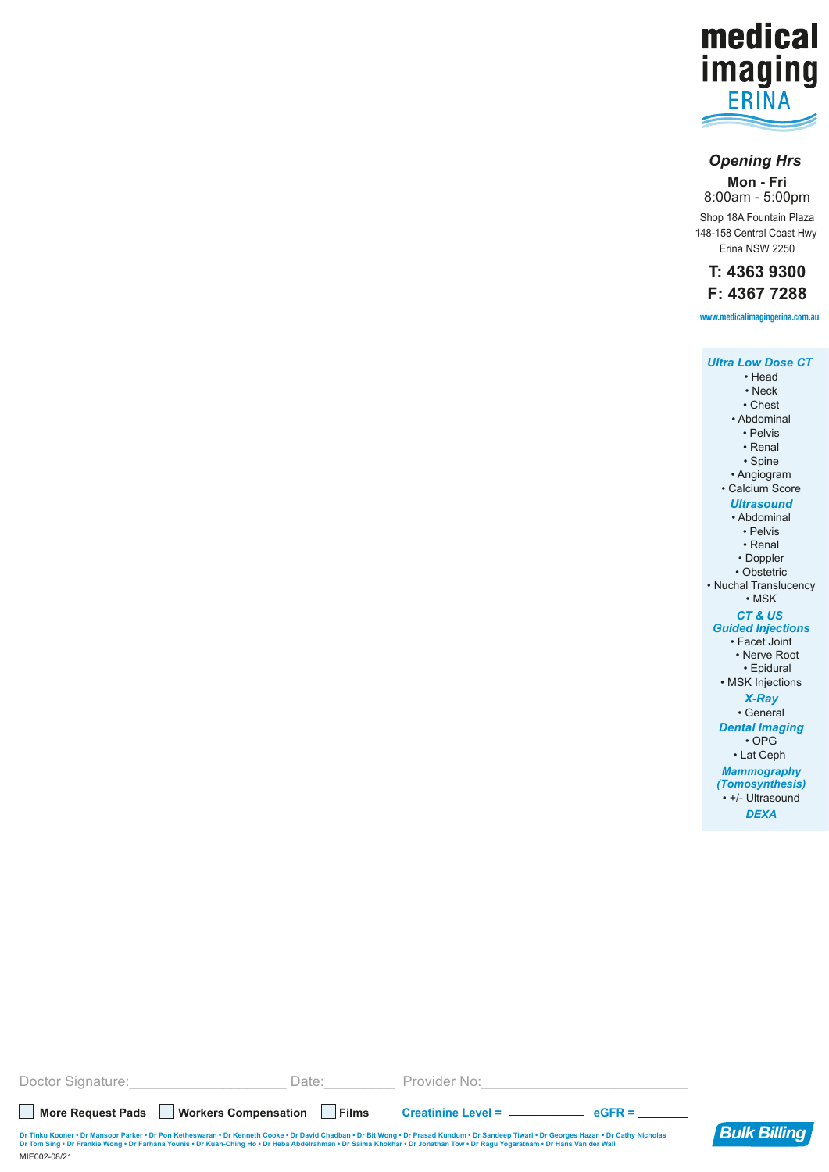

## *Opening Hrs*

**Mon - Fri** 8:00am - 5:00pm Shop 18A Fountain Plaza 148-158 Central Coast Hwy Erina NSW 2250

**T: 4363 9300 F: 4367 7288**

**www.medicalimagingerina.com.au**

| <b>Ultra Low Dose CT</b> |
|--------------------------|
| • Head                   |
| • Neck                   |
| • Chest                  |
| • Abdominal              |
| • Pelvis                 |
| • Renal                  |
| • Spine                  |
| · Angiogram              |
| • Calcium Score          |
| Ultrasound               |
| • Abdominal              |
| • Pelvis                 |
| • Renal                  |
| • Doppler                |
| • Obstetric              |
| • Nuchal Translucency    |
| $\cdot$ MSK              |
| CT & US                  |
| <b>Guided Injections</b> |
| • Facet Joint            |
| • Nerve Root             |
| • Epidural               |
| • MSK Injections         |
| <b>X-Rav</b>             |
| • General                |
| <b>Dental Imaging</b>    |
| $\cdot$ OPG              |
| • Lat Ceph               |
| <b>Mammography</b>       |
| (Tomosynthesis)          |
| • +/- Ultrasound         |
| <b>DEXA</b>              |
|                          |

| Doctor Signature: | Date:                                                                                                                                                                       | Provider No:                                                                                                                                                                               |                     |
|-------------------|-----------------------------------------------------------------------------------------------------------------------------------------------------------------------------|--------------------------------------------------------------------------------------------------------------------------------------------------------------------------------------------|---------------------|
| More Request Pads | Workers Compensation    <br><b>Films</b>                                                                                                                                    | $eGFR =$                                                                                                                                                                                   |                     |
| MIE002-08/21      | Dr Tom Sing . Dr Frankie Wong . Dr Farhana Younis . Dr Kuan-Ching Ho . Dr Heba Abdelrahman . Dr Saima Khokhar . Dr Jonathan Tow . Dr Ragu Yogaratnam . Dr Hans Van der Wall | Dr Tinku Kooner • Dr Mansoor Parker • Dr Pon Ketheswaran • Dr Kenneth Cooke • Dr David Chadban • Dr Bit Wong • Dr Prasad Kundum • Dr Sandeep Tiwari • Dr Georges Hazan • Dr Cathy Nicholas | <b>Bulk Billing</b> |